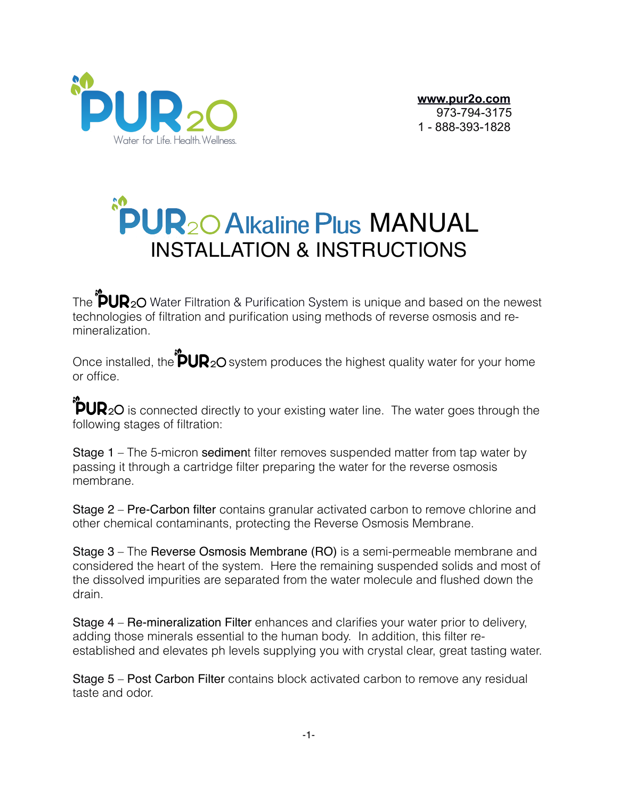

 **[www.pur2o.com](http://www.pur2o.com)** 973-794-3175 1 - 888-393-1828

# **PUR20 Alkaline Plus MANUAL** INSTALLATION & INSTRUCTIONS

The  $\sqrt[m]{UV}$ 20 Water Filtration & Purification System is unique and based on the newest technologies of filtration and purification using methods of reverse osmosis and remineralization.

Once installed, the  $\overleftrightarrow{P} \cup \overline{R}_2$ O system produces the highest quality water for your home or office.

 $\overline{2}$ **PUR**<sub>2</sub>O is connected directly to your existing water line. The water goes through the following stages of filtration:

Stage 1 – The 5-micron sediment filter removes suspended matter from tap water by passing it through a cartridge filter preparing the water for the reverse osmosis membrane.

Stage 2 – Pre-Carbon filter contains granular activated carbon to remove chlorine and other chemical contaminants, protecting the Reverse Osmosis Membrane.

Stage 3 – The Reverse Osmosis Membrane (RO) is a semi-permeable membrane and considered the heart of the system. Here the remaining suspended solids and most of the dissolved impurities are separated from the water molecule and flushed down the drain.

Stage 4 – Re-mineralization Filter enhances and clarifies your water prior to delivery, adding those minerals essential to the human body. In addition, this filter reestablished and elevates ph levels supplying you with crystal clear, great tasting water.

Stage 5 – Post Carbon Filter contains block activated carbon to remove any residual taste and odor.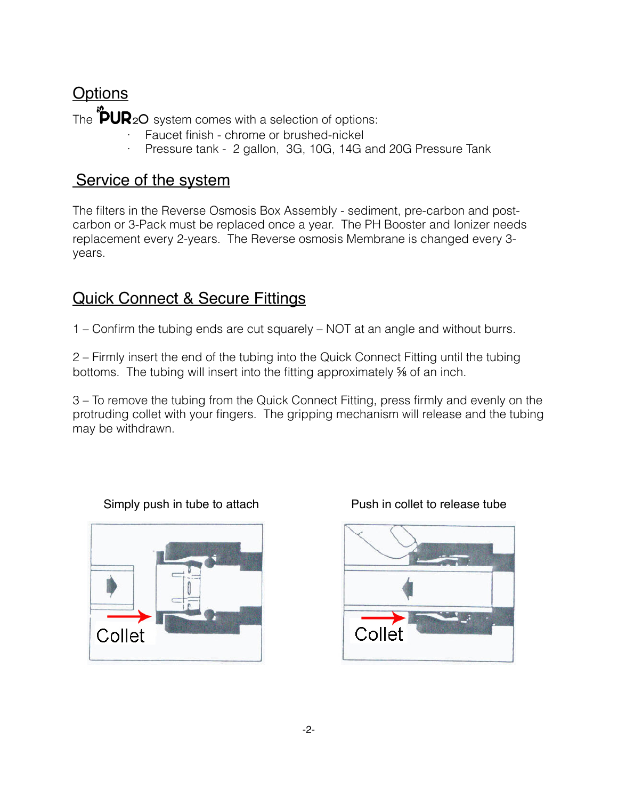# **Options**

The  $\ddot{\cdot}$ PUR<sub>2</sub>O system comes with a selection of options:

- Faucet finish chrome or brushed-nickel
- Pressure tank 2 gallon, 3G, 10G, 14G and 20G Pressure Tank

#### Service of the system

The filters in the Reverse Osmosis Box Assembly - sediment, pre-carbon and postcarbon or 3-Pack must be replaced once a year. The PH Booster and Ionizer needs replacement every 2-years. The Reverse osmosis Membrane is changed every 3 years.

## Quick Connect & Secure Fittings

1 – Confirm the tubing ends are cut squarely – NOT at an angle and without burrs.

2 – Firmly insert the end of the tubing into the Quick Connect Fitting until the tubing bottoms. The tubing will insert into the fitting approximately % of an inch.

3 – To remove the tubing from the Quick Connect Fitting, press firmly and evenly on the protruding collet with your fingers. The gripping mechanism will release and the tubing may be withdrawn.





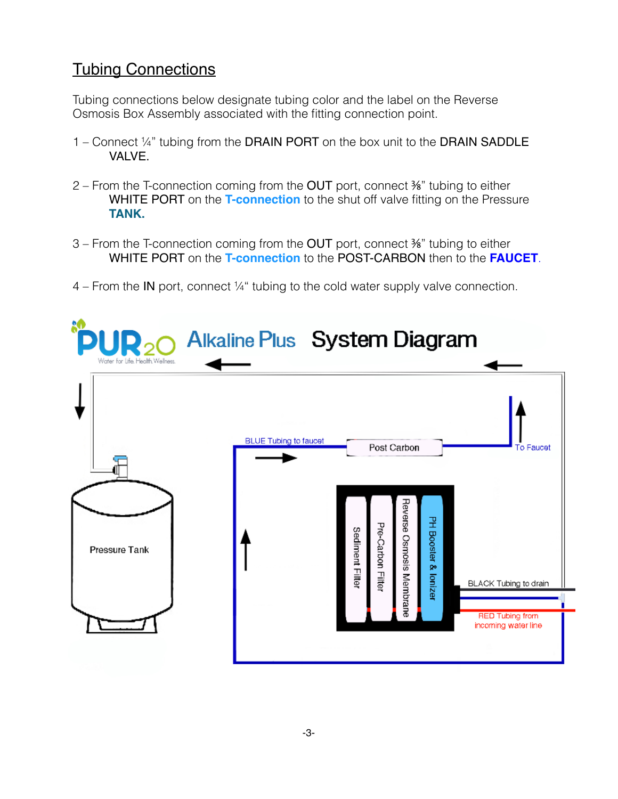# Tubing Connections

Tubing connections below designate tubing color and the label on the Reverse Osmosis Box Assembly associated with the fitting connection point.

- 1 Connect ¼" tubing from the DRAIN PORT on the box unit to the DRAIN SADDLE VALVE.
- 2 From the T-connection coming from the OUT port, connect ⅜" tubing to either WHITE PORT on the **T-connection** to the shut off valve fitting on the Pressure **TANK.**
- 3 From the T-connection coming from the OUT port, connect ⅜" tubing to either WHITE PORT on the **T-connection** to the POST-CARBON then to the **FAUCET**.
- 4 From the IN port, connect ¼" tubing to the cold water supply valve connection.

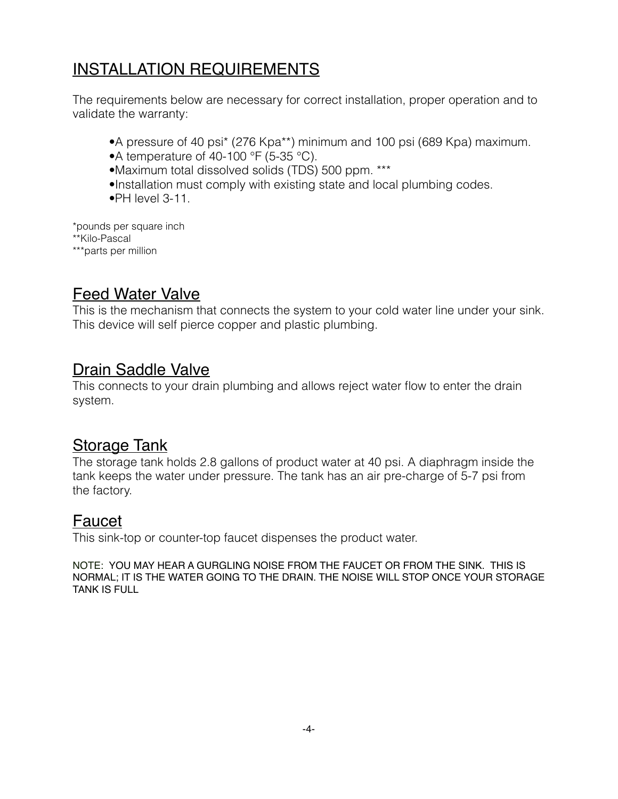# INSTALLATION REQUIREMENTS

The requirements below are necessary for correct installation, proper operation and to validate the warranty:

- •A pressure of 40 psi\* (276 Kpa\*\*) minimum and 100 psi (689 Kpa) maximum.
- •A temperature of 40-100 °F (5-35 °C).
- •Maximum total dissolved solids (TDS) 500 ppm. \*\*\*
- •Installation must comply with existing state and local plumbing codes.
- •PH level 3-11.

\*pounds per square inch \*\*Kilo-Pascal

\*\*\*parts per million

# Feed Water Valve

This is the mechanism that connects the system to your cold water line under your sink. This device will self pierce copper and plastic plumbing.

#### Drain Saddle Valve

This connects to your drain plumbing and allows reject water flow to enter the drain system.

#### **Storage Tank**

The storage tank holds 2.8 gallons of product water at 40 psi. A diaphragm inside the tank keeps the water under pressure. The tank has an air pre-charge of 5-7 psi from the factory.

#### Faucet

This sink-top or counter-top faucet dispenses the product water.

NOTE: YOU MAY HEAR A GURGLING NOISE FROM THE FAUCET OR FROM THE SINK. THIS IS NORMAL; IT IS THE WATER GOING TO THE DRAIN. THE NOISE WILL STOP ONCE YOUR STORAGE TANK IS FULL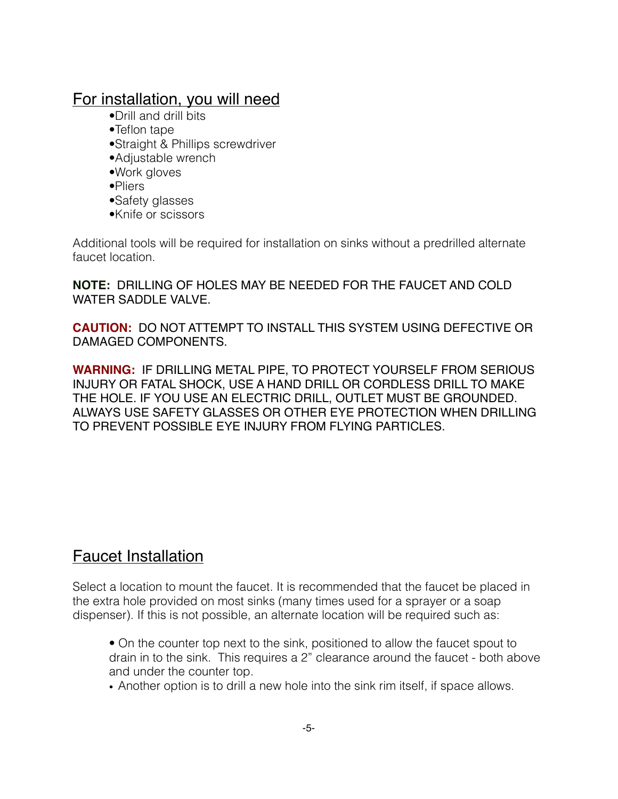#### For installation, you will need

- •Drill and drill bits
- •Teflon tape
- •Straight & Phillips screwdriver
- •Adjustable wrench
- •Work gloves
- •Pliers
- •Safety glasses
- •Knife or scissors

Additional tools will be required for installation on sinks without a predrilled alternate faucet location.

**NOTE:** DRILLING OF HOLES MAY BE NEEDED FOR THE FAUCET AND COLD WATER SADDLE VALVE.

**CAUTION:** DO NOT ATTEMPT TO INSTALL THIS SYSTEM USING DEFECTIVE OR DAMAGED COMPONENTS.

**WARNING:** IF DRILLING METAL PIPE, TO PROTECT YOURSELF FROM SERIOUS INJURY OR FATAL SHOCK, USE A HAND DRILL OR CORDLESS DRILL TO MAKE THE HOLE. IF YOU USE AN ELECTRIC DRILL, OUTLET MUST BE GROUNDED. ALWAYS USE SAFETY GLASSES OR OTHER EYE PROTECTION WHEN DRILLING TO PREVENT POSSIBLE EYE INJURY FROM FLYING PARTICLES.

### Faucet Installation

Select a location to mount the faucet. It is recommended that the faucet be placed in the extra hole provided on most sinks (many times used for a sprayer or a soap dispenser). If this is not possible, an alternate location will be required such as:

- On the counter top next to the sink, positioned to allow the faucet spout to drain in to the sink. This requires a 2" clearance around the faucet - both above and under the counter top.
- Another option is to drill a new hole into the sink rim itself, if space allows.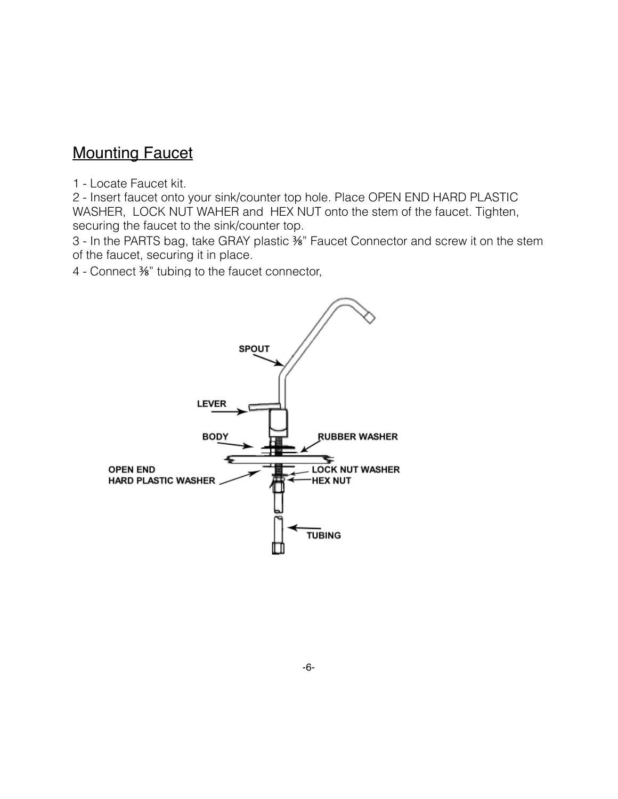#### **Mounting Faucet**

1 - Locate Faucet kit.

2 - Insert faucet onto your sink/counter top hole. Place OPEN END HARD PLASTIC WASHER, LOCK NUT WAHER and HEX NUT onto the stem of the faucet. Tighten, securing the faucet to the sink/counter top.

3 - In the PARTS bag, take GRAY plastic ⅜" Faucet Connector and screw it on the stem of the faucet, securing it in place.

4 - Connect ⅜" tubing to the faucet connector,

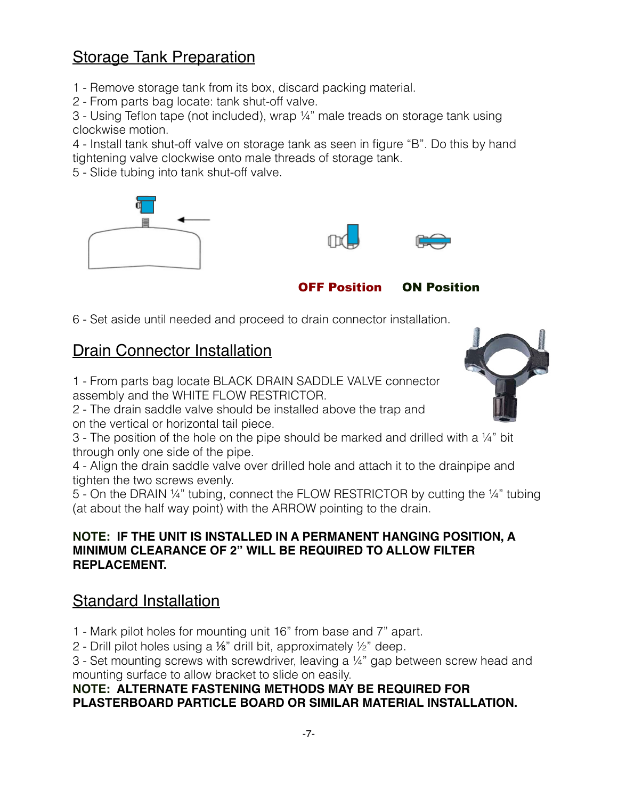### **Storage Tank Preparation**

1 - Remove storage tank from its box, discard packing material.

2 - From parts bag locate: tank shut-off valve.

3 - Using Teflon tape (not included), wrap ¼" male treads on storage tank using clockwise motion.

4 - Install tank shut-off valve on storage tank as seen in figure "B". Do this by hand tightening valve clockwise onto male threads of storage tank.

5 - Slide tubing into tank shut-off valve.





OFF Position ON Position

6 - Set aside until needed and proceed to drain connector installation.

# Drain Connector Installation

1 - From parts bag locate BLACK DRAIN SADDLE VALVE connector assembly and the WHITE FLOW RESTRICTOR.

2 - The drain saddle valve should be installed above the trap and on the vertical or horizontal tail piece.



4 - Align the drain saddle valve over drilled hole and attach it to the drainpipe and tighten the two screws evenly.

5 - On the DRAIN ¼" tubing, connect the FLOW RESTRICTOR by cutting the ¼" tubing (at about the half way point) with the ARROW pointing to the drain.

#### **NOTE: IF THE UNIT IS INSTALLED IN A PERMANENT HANGING POSITION, A MINIMUM CLEARANCE OF 2" WILL BE REQUIRED TO ALLOW FILTER REPLACEMENT.**

# Standard Installation

1 - Mark pilot holes for mounting unit 16" from base and 7" apart.

2 - Drill pilot holes using a ⅛" drill bit, approximately ½" deep.

3 - Set mounting screws with screwdriver, leaving a ¼" gap between screw head and mounting surface to allow bracket to slide on easily.

#### **NOTE: ALTERNATE FASTENING METHODS MAY BE REQUIRED FOR PLASTERBOARD PARTICLE BOARD OR SIMILAR MATERIAL INSTALLATION.**

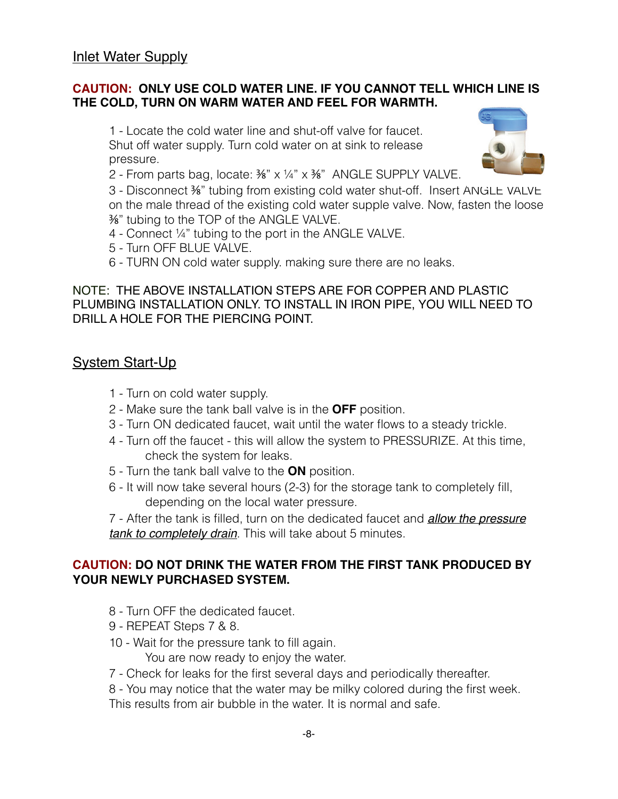#### **CAUTION: ONLY USE COLD WATER LINE. IF YOU CANNOT TELL WHICH LINE IS THE COLD, TURN ON WARM WATER AND FEEL FOR WARMTH.**

1 - Locate the cold water line and shut-off valve for faucet. Shut off water supply. Turn cold water on at sink to release pressure.



3 - Disconnect ⅜" tubing from existing cold water shut-off. Insert ANGLE VALVE on the male thread of the existing cold water supple valve. Now, fasten the loose ⅜" tubing to the TOP of the ANGLE VALVE.

- 4 Connect ¼" tubing to the port in the ANGLE VALVE.
- 5 Turn OFF BLUE VALVE.
- 6 TURN ON cold water supply. making sure there are no leaks.

NOTE: THE ABOVE INSTALLATION STEPS ARE FOR COPPER AND PLASTIC PLUMBING INSTALLATION ONLY. TO INSTALL IN IRON PIPE, YOU WILL NEED TO DRILL A HOLE FOR THE PIERCING POINT.

#### System Start-Up

- 1 Turn on cold water supply.
- 2 Make sure the tank ball valve is in the **OFF** position.
- 3 Turn ON dedicated faucet, wait until the water flows to a steady trickle.
- 4 Turn off the faucet this will allow the system to PRESSURIZE. At this time, check the system for leaks.
- 5 Turn the tank ball valve to the **ON** position.
- 6 It will now take several hours (2-3) for the storage tank to completely fill, depending on the local water pressure.

7 - After the tank is filled, turn on the dedicated faucet and *allow the pressure tank to completely drain*. This will take about 5 minutes.

#### **CAUTION: DO NOT DRINK THE WATER FROM THE FIRST TANK PRODUCED BY YOUR NEWLY PURCHASED SYSTEM.**

- 8 Turn OFF the dedicated faucet.
- 9 REPEAT Steps 7 & 8.
- 10 Wait for the pressure tank to fill again.

You are now ready to enjoy the water.

7 - Check for leaks for the first several days and periodically thereafter.

8 - You may notice that the water may be milky colored during the first week.

-8-

This results from air bubble in the water. It is normal and safe.